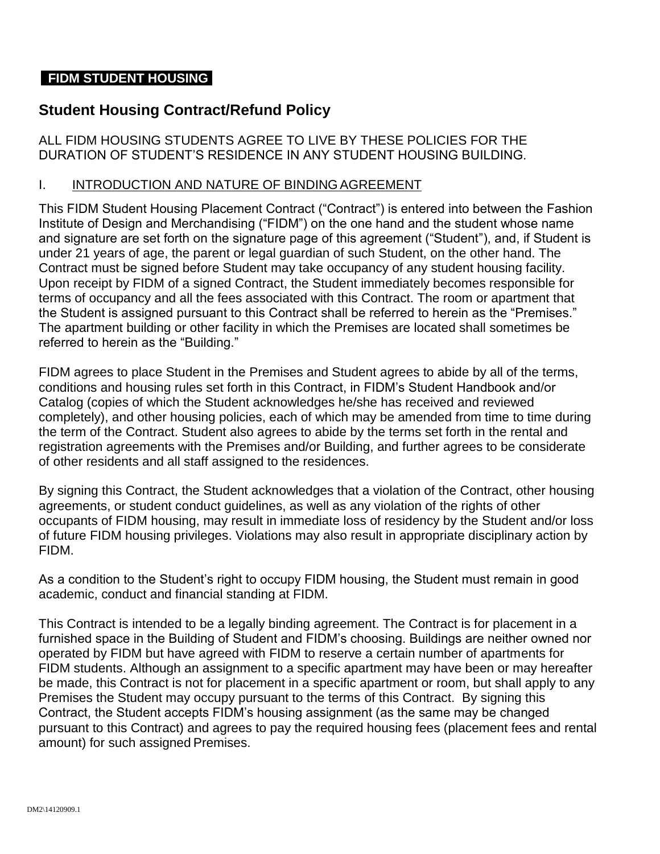## **FIDM STUDENT HOUSING**

# **Student Housing Contract/Refund Policy**

### ALL FIDM HOUSING STUDENTS AGREE TO LIVE BY THESE POLICIES FOR THE DURATION OF STUDENT'S RESIDENCE IN ANY STUDENT HOUSING BUILDING.

### I. INTRODUCTION AND NATURE OF BINDINGAGREEMENT

This FIDM Student Housing Placement Contract ("Contract") is entered into between the Fashion Institute of Design and Merchandising ("FIDM") on the one hand and the student whose name and signature are set forth on the signature page of this agreement ("Student"), and, if Student is under 21 years of age, the parent or legal guardian of such Student, on the other hand. The Contract must be signed before Student may take occupancy of any student housing facility. Upon receipt by FIDM of a signed Contract, the Student immediately becomes responsible for terms of occupancy and all the fees associated with this Contract. The room or apartment that the Student is assigned pursuant to this Contract shall be referred to herein as the "Premises." The apartment building or other facility in which the Premises are located shall sometimes be referred to herein as the "Building."

FIDM agrees to place Student in the Premises and Student agrees to abide by all of the terms, conditions and housing rules set forth in this Contract, in FIDM's Student Handbook and/or Catalog (copies of which the Student acknowledges he/she has received and reviewed completely), and other housing policies, each of which may be amended from time to time during the term of the Contract. Student also agrees to abide by the terms set forth in the rental and registration agreements with the Premises and/or Building, and further agrees to be considerate of other residents and all staff assigned to the residences.

By signing this Contract, the Student acknowledges that a violation of the Contract, other housing agreements, or student conduct guidelines, as well as any violation of the rights of other occupants of FIDM housing, may result in immediate loss of residency by the Student and/or loss of future FIDM housing privileges. Violations may also result in appropriate disciplinary action by FIDM.

As a condition to the Student's right to occupy FIDM housing, the Student must remain in good academic, conduct and financial standing at FIDM.

This Contract is intended to be a legally binding agreement. The Contract is for placement in a furnished space in the Building of Student and FIDM's choosing. Buildings are neither owned nor operated by FIDM but have agreed with FIDM to reserve a certain number of apartments for FIDM students. Although an assignment to a specific apartment may have been or may hereafter be made, this Contract is not for placement in a specific apartment or room, but shall apply to any Premises the Student may occupy pursuant to the terms of this Contract. By signing this Contract, the Student accepts FIDM's housing assignment (as the same may be changed pursuant to this Contract) and agrees to pay the required housing fees (placement fees and rental amount) for such assigned Premises.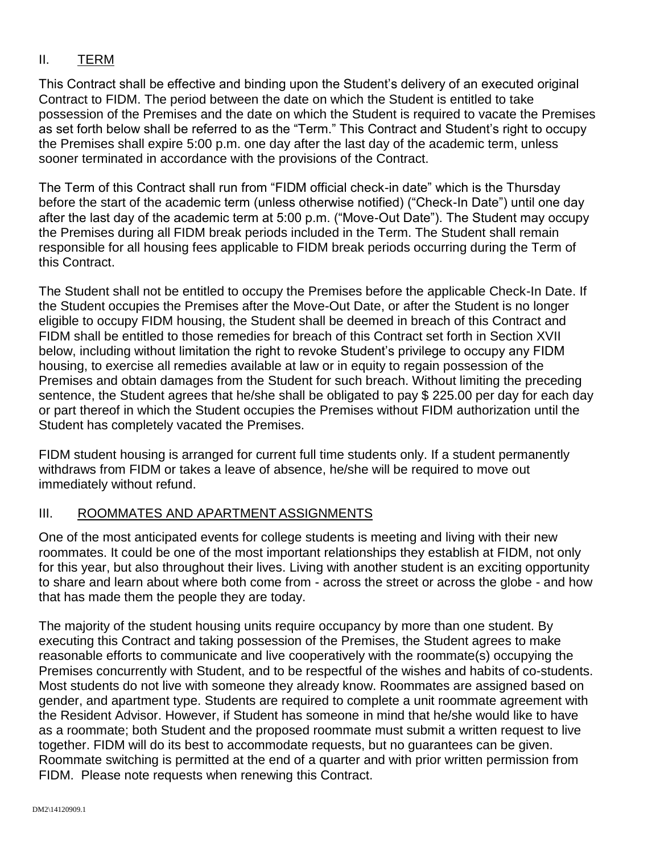## II. TERM

This Contract shall be effective and binding upon the Student's delivery of an executed original Contract to FIDM. The period between the date on which the Student is entitled to take possession of the Premises and the date on which the Student is required to vacate the Premises as set forth below shall be referred to as the "Term." This Contract and Student's right to occupy the Premises shall expire 5:00 p.m. one day after the last day of the academic term, unless sooner terminated in accordance with the provisions of the Contract.

The Term of this Contract shall run from "FIDM official check-in date" which is the Thursday before the start of the academic term (unless otherwise notified) ("Check-In Date") until one day after the last day of the academic term at 5:00 p.m. ("Move-Out Date"). The Student may occupy the Premises during all FIDM break periods included in the Term. The Student shall remain responsible for all housing fees applicable to FIDM break periods occurring during the Term of this Contract.

The Student shall not be entitled to occupy the Premises before the applicable Check-In Date. If the Student occupies the Premises after the Move-Out Date, or after the Student is no longer eligible to occupy FIDM housing, the Student shall be deemed in breach of this Contract and FIDM shall be entitled to those remedies for breach of this Contract set forth in Section XVII below, including without limitation the right to revoke Student's privilege to occupy any FIDM housing, to exercise all remedies available at law or in equity to regain possession of the Premises and obtain damages from the Student for such breach. Without limiting the preceding sentence, the Student agrees that he/she shall be obligated to pay \$ 225.00 per day for each day or part thereof in which the Student occupies the Premises without FIDM authorization until the Student has completely vacated the Premises.

FIDM student housing is arranged for current full time students only. If a student permanently withdraws from FIDM or takes a leave of absence, he/she will be required to move out immediately without refund.

### III. ROOMMATES AND APARTMENT ASSIGNMENTS

One of the most anticipated events for college students is meeting and living with their new roommates. It could be one of the most important relationships they establish at FIDM, not only for this year, but also throughout their lives. Living with another student is an exciting opportunity to share and learn about where both come from - across the street or across the globe - and how that has made them the people they are today.

The majority of the student housing units require occupancy by more than one student. By executing this Contract and taking possession of the Premises, the Student agrees to make reasonable efforts to communicate and live cooperatively with the roommate(s) occupying the Premises concurrently with Student, and to be respectful of the wishes and habits of co-students. Most students do not live with someone they already know. Roommates are assigned based on gender, and apartment type. Students are required to complete a unit roommate agreement with the Resident Advisor. However, if Student has someone in mind that he/she would like to have as a roommate; both Student and the proposed roommate must submit a written request to live together. FIDM will do its best to accommodate requests, but no guarantees can be given. Roommate switching is permitted at the end of a quarter and with prior written permission from FIDM. Please note requests when renewing this Contract.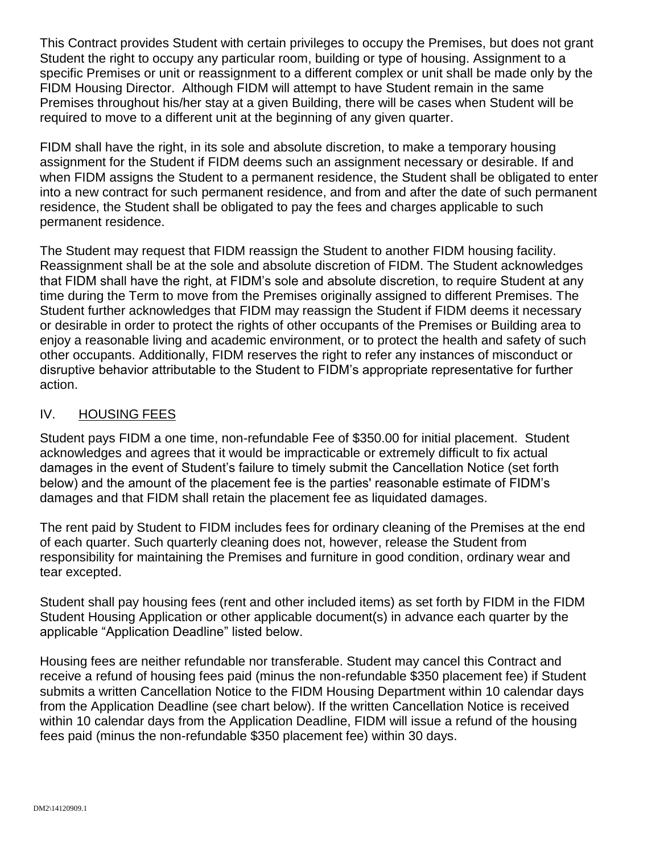This Contract provides Student with certain privileges to occupy the Premises, but does not grant Student the right to occupy any particular room, building or type of housing. Assignment to a specific Premises or unit or reassignment to a different complex or unit shall be made only by the FIDM Housing Director. Although FIDM will attempt to have Student remain in the same Premises throughout his/her stay at a given Building, there will be cases when Student will be required to move to a different unit at the beginning of any given quarter.

FIDM shall have the right, in its sole and absolute discretion, to make a temporary housing assignment for the Student if FIDM deems such an assignment necessary or desirable. If and when FIDM assigns the Student to a permanent residence, the Student shall be obligated to enter into a new contract for such permanent residence, and from and after the date of such permanent residence, the Student shall be obligated to pay the fees and charges applicable to such permanent residence.

The Student may request that FIDM reassign the Student to another FIDM housing facility. Reassignment shall be at the sole and absolute discretion of FIDM. The Student acknowledges that FIDM shall have the right, at FIDM's sole and absolute discretion, to require Student at any time during the Term to move from the Premises originally assigned to different Premises. The Student further acknowledges that FIDM may reassign the Student if FIDM deems it necessary or desirable in order to protect the rights of other occupants of the Premises or Building area to enjoy a reasonable living and academic environment, or to protect the health and safety of such other occupants. Additionally, FIDM reserves the right to refer any instances of misconduct or disruptive behavior attributable to the Student to FIDM's appropriate representative for further action.

## IV. HOUSING FEES

Student pays FIDM a one time, non-refundable Fee of \$350.00 for initial placement. Student acknowledges and agrees that it would be impracticable or extremely difficult to fix actual damages in the event of Student's failure to timely submit the Cancellation Notice (set forth below) and the amount of the placement fee is the parties' reasonable estimate of FIDM's damages and that FIDM shall retain the placement fee as liquidated damages.

The rent paid by Student to FIDM includes fees for ordinary cleaning of the Premises at the end of each quarter. Such quarterly cleaning does not, however, release the Student from responsibility for maintaining the Premises and furniture in good condition, ordinary wear and tear excepted.

Student shall pay housing fees (rent and other included items) as set forth by FIDM in the FIDM Student Housing Application or other applicable document(s) in advance each quarter by the applicable "Application Deadline" listed below.

Housing fees are neither refundable nor transferable. Student may cancel this Contract and receive a refund of housing fees paid (minus the non-refundable \$350 placement fee) if Student submits a written Cancellation Notice to the FIDM Housing Department within 10 calendar days from the Application Deadline (see chart below). If the written Cancellation Notice is received within 10 calendar days from the Application Deadline, FIDM will issue a refund of the housing fees paid (minus the non-refundable \$350 placement fee) within 30 days.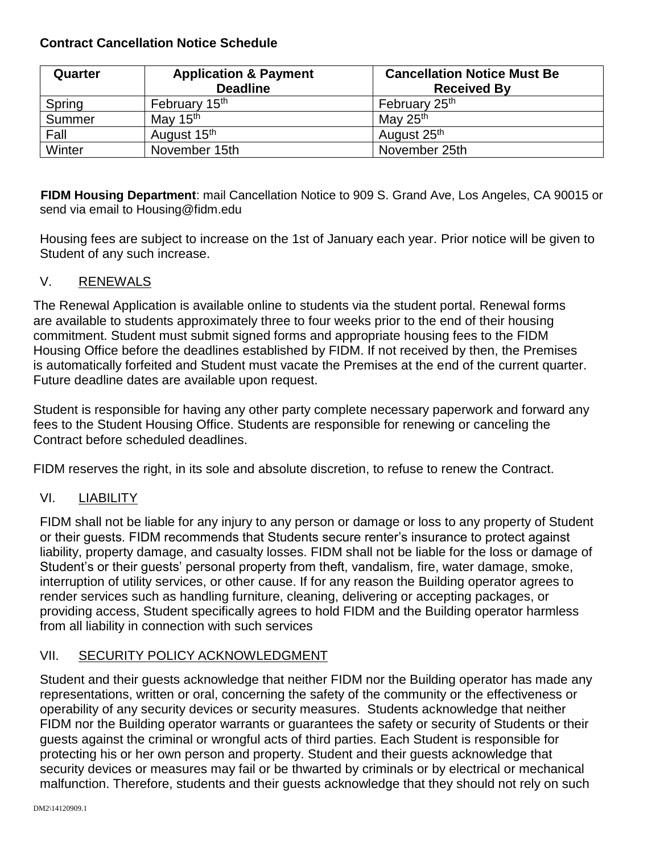### **Contract Cancellation Notice Schedule**

| Quarter | <b>Application &amp; Payment</b><br><b>Deadline</b> | <b>Cancellation Notice Must Be</b><br><b>Received By</b> |
|---------|-----------------------------------------------------|----------------------------------------------------------|
| Spring  | February 15 <sup>th</sup>                           | February 25 <sup>th</sup>                                |
| Summer  | May $15th$                                          | May 25 <sup>th</sup>                                     |
| Fall    | August 15th                                         | August 25th                                              |
| Winter  | November 15th                                       | November 25th                                            |

**FIDM Housing Department**: mail Cancellation Notice to 909 S. Grand Ave, Los Angeles, CA 90015 or send via email to Housing@fidm.edu

Housing fees are subject to increase on the 1st of January each year. Prior notice will be given to Student of any such increase.

### V. RENEWALS

The Renewal Application is available online to students via the student portal. Renewal forms are available to students approximately three to four weeks prior to the end of their housing commitment. Student must submit signed forms and appropriate housing fees to the FIDM Housing Office before the deadlines established by FIDM. If not received by then, the Premises is automatically forfeited and Student must vacate the Premises at the end of the current quarter. Future deadline dates are available upon request.

Student is responsible for having any other party complete necessary paperwork and forward any fees to the Student Housing Office. Students are responsible for renewing or canceling the Contract before scheduled deadlines.

FIDM reserves the right, in its sole and absolute discretion, to refuse to renew the Contract.

## VI. LIABILITY

FIDM shall not be liable for any injury to any person or damage or loss to any property of Student or their guests. FIDM recommends that Students secure renter's insurance to protect against liability, property damage, and casualty losses. FIDM shall not be liable for the loss or damage of Student's or their guests' personal property from theft, vandalism, fire, water damage, smoke, interruption of utility services, or other cause. If for any reason the Building operator agrees to render services such as handling furniture, cleaning, delivering or accepting packages, or providing access, Student specifically agrees to hold FIDM and the Building operator harmless from all liability in connection with such services

## VII. SECURITY POLICY ACKNOWLEDGMENT

Student and their guests acknowledge that neither FIDM nor the Building operator has made any representations, written or oral, concerning the safety of the community or the effectiveness or operability of any security devices or security measures. Students acknowledge that neither FIDM nor the Building operator warrants or guarantees the safety or security of Students or their guests against the criminal or wrongful acts of third parties. Each Student is responsible for protecting his or her own person and property. Student and their guests acknowledge that security devices or measures may fail or be thwarted by criminals or by electrical or mechanical malfunction. Therefore, students and their guests acknowledge that they should not rely on such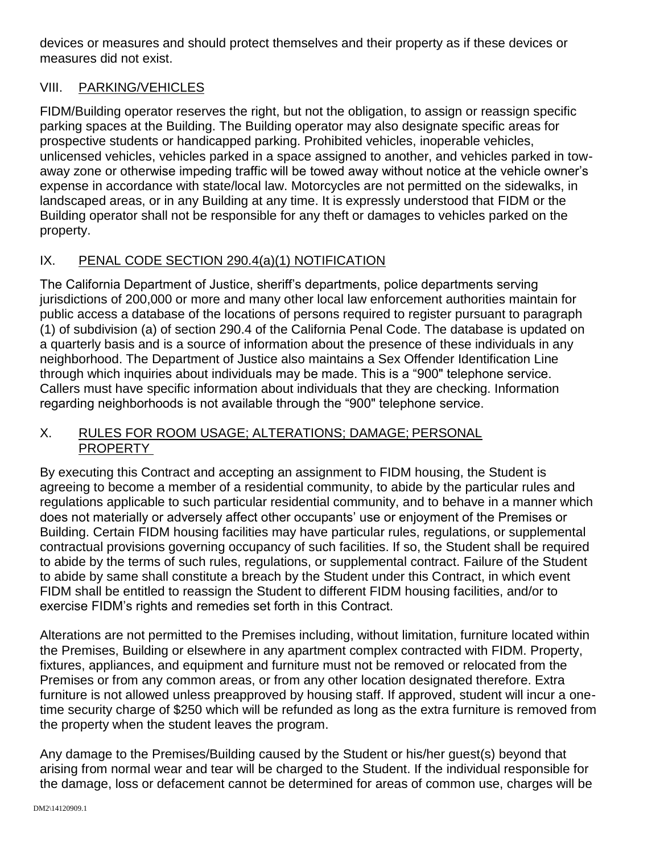devices or measures and should protect themselves and their property as if these devices or measures did not exist.

## VIII. PARKING/VEHICLES

FIDM/Building operator reserves the right, but not the obligation, to assign or reassign specific parking spaces at the Building. The Building operator may also designate specific areas for prospective students or handicapped parking. Prohibited vehicles, inoperable vehicles, unlicensed vehicles, vehicles parked in a space assigned to another, and vehicles parked in towaway zone or otherwise impeding traffic will be towed away without notice at the vehicle owner's expense in accordance with state/local law. Motorcycles are not permitted on the sidewalks, in landscaped areas, or in any Building at any time. It is expressly understood that FIDM or the Building operator shall not be responsible for any theft or damages to vehicles parked on the property.

## IX. PENAL CODE SECTION 290.4(a)(1) NOTIFICATION

The California Department of Justice, sheriff's departments, police departments serving jurisdictions of 200,000 or more and many other local law enforcement authorities maintain for public access a database of the locations of persons required to register pursuant to paragraph (1) of subdivision (a) of section 290.4 of the California Penal Code. The database is updated on a quarterly basis and is a source of information about the presence of these individuals in any neighborhood. The Department of Justice also maintains a Sex Offender Identification Line through which inquiries about individuals may be made. This is a "900" telephone service. Callers must have specific information about individuals that they are checking. Information regarding neighborhoods is not available through the "900" telephone service.

## X. RULES FOR ROOM USAGE; ALTERATIONS; DAMAGE; PERSONAL PROPERTY

By executing this Contract and accepting an assignment to FIDM housing, the Student is agreeing to become a member of a residential community, to abide by the particular rules and regulations applicable to such particular residential community, and to behave in a manner which does not materially or adversely affect other occupants' use or enjoyment of the Premises or Building. Certain FIDM housing facilities may have particular rules, regulations, or supplemental contractual provisions governing occupancy of such facilities. If so, the Student shall be required to abide by the terms of such rules, regulations, or supplemental contract. Failure of the Student to abide by same shall constitute a breach by the Student under this Contract, in which event FIDM shall be entitled to reassign the Student to different FIDM housing facilities, and/or to exercise FIDM's rights and remedies set forth in this Contract.

Alterations are not permitted to the Premises including, without limitation, furniture located within the Premises, Building or elsewhere in any apartment complex contracted with FIDM. Property, fixtures, appliances, and equipment and furniture must not be removed or relocated from the Premises or from any common areas, or from any other location designated therefore. Extra furniture is not allowed unless preapproved by housing staff. If approved, student will incur a onetime security charge of \$250 which will be refunded as long as the extra furniture is removed from the property when the student leaves the program.

Any damage to the Premises/Building caused by the Student or his/her guest(s) beyond that arising from normal wear and tear will be charged to the Student. If the individual responsible for the damage, loss or defacement cannot be determined for areas of common use, charges will be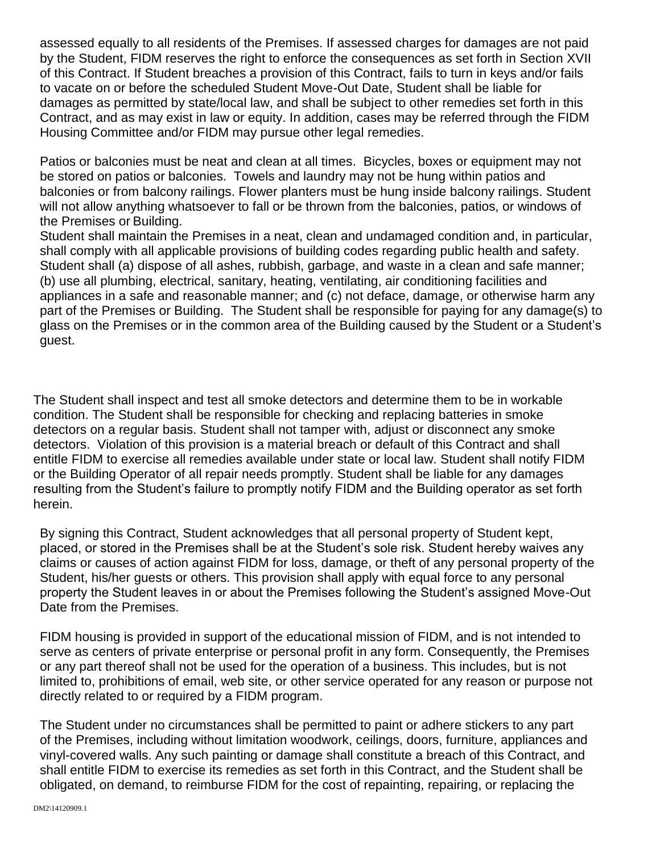assessed equally to all residents of the Premises. If assessed charges for damages are not paid by the Student, FIDM reserves the right to enforce the consequences as set forth in Section XVII of this Contract. If Student breaches a provision of this Contract, fails to turn in keys and/or fails to vacate on or before the scheduled Student Move-Out Date, Student shall be liable for damages as permitted by state/local law, and shall be subject to other remedies set forth in this Contract, and as may exist in law or equity. In addition, cases may be referred through the FIDM Housing Committee and/or FIDM may pursue other legal remedies.

Patios or balconies must be neat and clean at all times. Bicycles, boxes or equipment may not be stored on patios or balconies. Towels and laundry may not be hung within patios and balconies or from balcony railings. Flower planters must be hung inside balcony railings. Student will not allow anything whatsoever to fall or be thrown from the balconies, patios, or windows of the Premises or Building.

Student shall maintain the Premises in a neat, clean and undamaged condition and, in particular, shall comply with all applicable provisions of building codes regarding public health and safety. Student shall (a) dispose of all ashes, rubbish, garbage, and waste in a clean and safe manner; (b) use all plumbing, electrical, sanitary, heating, ventilating, air conditioning facilities and appliances in a safe and reasonable manner; and (c) not deface, damage, or otherwise harm any part of the Premises or Building. The Student shall be responsible for paying for any damage(s) to glass on the Premises or in the common area of the Building caused by the Student or a Student's guest.

The Student shall inspect and test all smoke detectors and determine them to be in workable condition. The Student shall be responsible for checking and replacing batteries in smoke detectors on a regular basis. Student shall not tamper with, adjust or disconnect any smoke detectors. Violation of this provision is a material breach or default of this Contract and shall entitle FIDM to exercise all remedies available under state or local law. Student shall notify FIDM or the Building Operator of all repair needs promptly. Student shall be liable for any damages resulting from the Student's failure to promptly notify FIDM and the Building operator as set forth herein.

By signing this Contract, Student acknowledges that all personal property of Student kept, placed, or stored in the Premises shall be at the Student's sole risk. Student hereby waives any claims or causes of action against FIDM for loss, damage, or theft of any personal property of the Student, his/her guests or others. This provision shall apply with equal force to any personal property the Student leaves in or about the Premises following the Student's assigned Move-Out Date from the Premises.

FIDM housing is provided in support of the educational mission of FIDM, and is not intended to serve as centers of private enterprise or personal profit in any form. Consequently, the Premises or any part thereof shall not be used for the operation of a business. This includes, but is not limited to, prohibitions of email, web site, or other service operated for any reason or purpose not directly related to or required by a FIDM program.

The Student under no circumstances shall be permitted to paint or adhere stickers to any part of the Premises, including without limitation woodwork, ceilings, doors, furniture, appliances and vinyl-covered walls. Any such painting or damage shall constitute a breach of this Contract, and shall entitle FIDM to exercise its remedies as set forth in this Contract, and the Student shall be obligated, on demand, to reimburse FIDM for the cost of repainting, repairing, or replacing the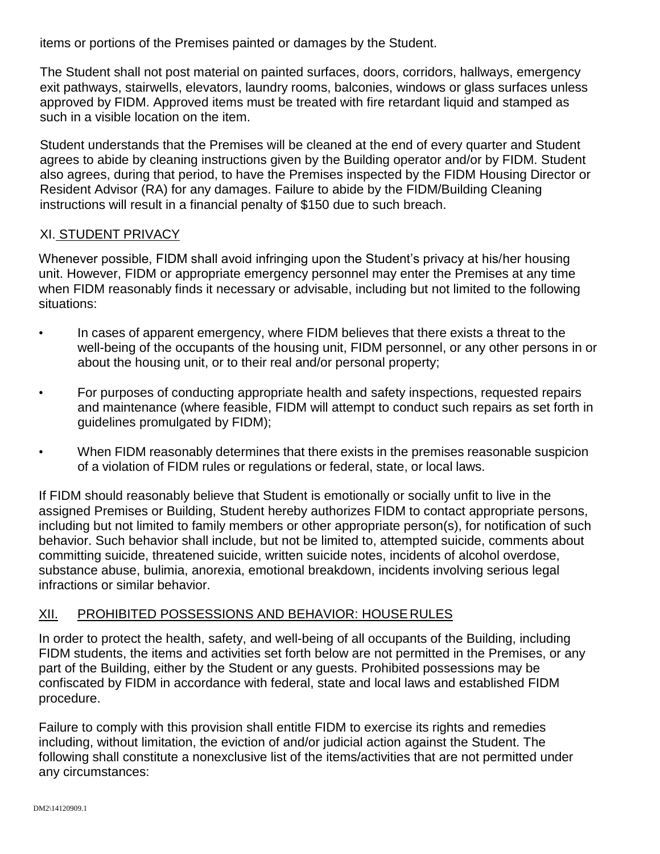items or portions of the Premises painted or damages by the Student.

The Student shall not post material on painted surfaces, doors, corridors, hallways, emergency exit pathways, stairwells, elevators, laundry rooms, balconies, windows or glass surfaces unless approved by FIDM. Approved items must be treated with fire retardant liquid and stamped as such in a visible location on the item.

Student understands that the Premises will be cleaned at the end of every quarter and Student agrees to abide by cleaning instructions given by the Building operator and/or by FIDM. Student also agrees, during that period, to have the Premises inspected by the FIDM Housing Director or Resident Advisor (RA) for any damages. Failure to abide by the FIDM/Building Cleaning instructions will result in a financial penalty of \$150 due to such breach.

#### XI. STUDENT PRIVACY

Whenever possible, FIDM shall avoid infringing upon the Student's privacy at his/her housing unit. However, FIDM or appropriate emergency personnel may enter the Premises at any time when FIDM reasonably finds it necessary or advisable, including but not limited to the following situations:

- In cases of apparent emergency, where FIDM believes that there exists a threat to the well-being of the occupants of the housing unit, FIDM personnel, or any other persons in or about the housing unit, or to their real and/or personal property;
- For purposes of conducting appropriate health and safety inspections, requested repairs and maintenance (where feasible, FIDM will attempt to conduct such repairs as set forth in guidelines promulgated by FIDM);
- When FIDM reasonably determines that there exists in the premises reasonable suspicion of a violation of FIDM rules or regulations or federal, state, or local laws.

If FIDM should reasonably believe that Student is emotionally or socially unfit to live in the assigned Premises or Building, Student hereby authorizes FIDM to contact appropriate persons, including but not limited to family members or other appropriate person(s), for notification of such behavior. Such behavior shall include, but not be limited to, attempted suicide, comments about committing suicide, threatened suicide, written suicide notes, incidents of alcohol overdose, substance abuse, bulimia, anorexia, emotional breakdown, incidents involving serious legal infractions or similar behavior.

### XII. PROHIBITED POSSESSIONS AND BEHAVIOR: HOUSERULES

In order to protect the health, safety, and well-being of all occupants of the Building, including FIDM students, the items and activities set forth below are not permitted in the Premises, or any part of the Building, either by the Student or any guests. Prohibited possessions may be confiscated by FIDM in accordance with federal, state and local laws and established FIDM procedure.

Failure to comply with this provision shall entitle FIDM to exercise its rights and remedies including, without limitation, the eviction of and/or judicial action against the Student. The following shall constitute a nonexclusive list of the items/activities that are not permitted under any circumstances: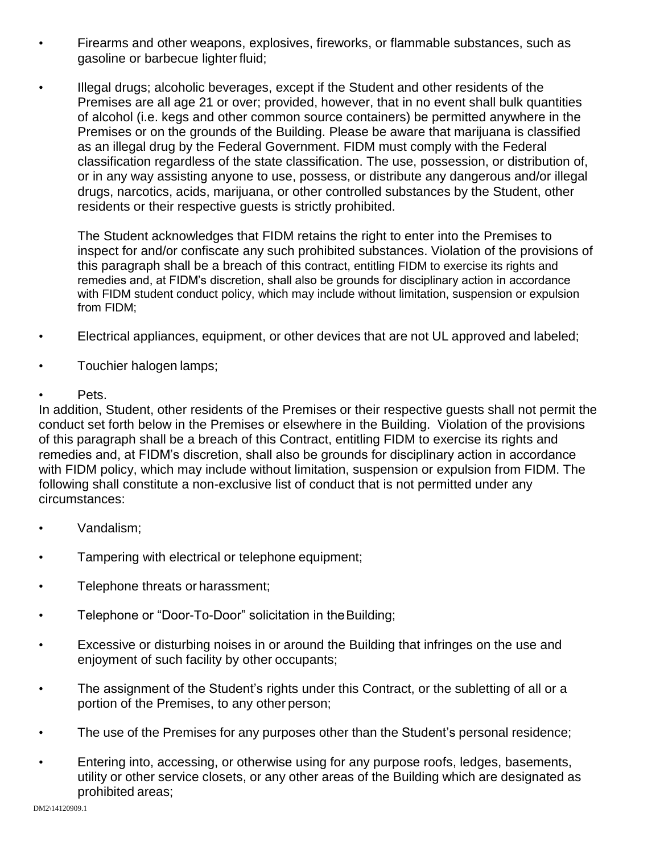- Firearms and other weapons, explosives, fireworks, or flammable substances, such as gasoline or barbecue lighterfluid;
- Illegal drugs; alcoholic beverages, except if the Student and other residents of the Premises are all age 21 or over; provided, however, that in no event shall bulk quantities of alcohol (i.e. kegs and other common source containers) be permitted anywhere in the Premises or on the grounds of the Building. Please be aware that marijuana is classified as an illegal drug by the Federal Government. FIDM must comply with the Federal classification regardless of the state classification. The use, possession, or distribution of, or in any way assisting anyone to use, possess, or distribute any dangerous and/or illegal drugs, narcotics, acids, marijuana, or other controlled substances by the Student, other residents or their respective guests is strictly prohibited.

The Student acknowledges that FIDM retains the right to enter into the Premises to inspect for and/or confiscate any such prohibited substances. Violation of the provisions of this paragraph shall be a breach of this contract, entitling FIDM to exercise its rights and remedies and, at FIDM's discretion, shall also be grounds for disciplinary action in accordance with FIDM student conduct policy, which may include without limitation, suspension or expulsion from FIDM;

- Electrical appliances, equipment, or other devices that are not UL approved and labeled;
- Touchier halogen lamps;
- Pets.

In addition, Student, other residents of the Premises or their respective guests shall not permit the conduct set forth below in the Premises or elsewhere in the Building. Violation of the provisions of this paragraph shall be a breach of this Contract, entitling FIDM to exercise its rights and remedies and, at FIDM's discretion, shall also be grounds for disciplinary action in accordance with FIDM policy, which may include without limitation, suspension or expulsion from FIDM. The following shall constitute a non-exclusive list of conduct that is not permitted under any circumstances:

- Vandalism;
- Tampering with electrical or telephone equipment;
- Telephone threats or harassment;
- Telephone or "Door-To-Door" solicitation in theBuilding;
- Excessive or disturbing noises in or around the Building that infringes on the use and enjoyment of such facility by other occupants;
- The assignment of the Student's rights under this Contract, or the subletting of all or a portion of the Premises, to any other person;
- The use of the Premises for any purposes other than the Student's personal residence;
- Entering into, accessing, or otherwise using for any purpose roofs, ledges, basements, utility or other service closets, or any other areas of the Building which are designated as prohibited areas;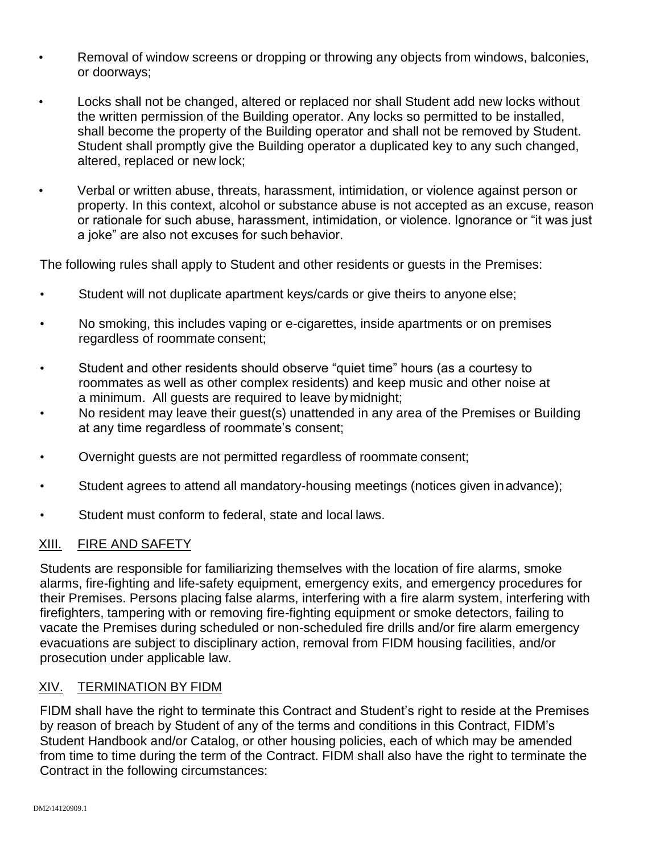- Removal of window screens or dropping or throwing any objects from windows, balconies, or doorways;
- Locks shall not be changed, altered or replaced nor shall Student add new locks without the written permission of the Building operator. Any locks so permitted to be installed, shall become the property of the Building operator and shall not be removed by Student. Student shall promptly give the Building operator a duplicated key to any such changed, altered, replaced or new lock;
- Verbal or written abuse, threats, harassment, intimidation, or violence against person or property. In this context, alcohol or substance abuse is not accepted as an excuse, reason or rationale for such abuse, harassment, intimidation, or violence. Ignorance or "it was just a joke" are also not excuses for such behavior.

The following rules shall apply to Student and other residents or guests in the Premises:

- Student will not duplicate apartment keys/cards or give theirs to anyone else;
- No smoking, this includes vaping or e-cigarettes, inside apartments or on premises regardless of roommate consent;
- Student and other residents should observe "quiet time" hours (as a courtesy to roommates as well as other complex residents) and keep music and other noise at a minimum. All guests are required to leave bymidnight;
- No resident may leave their guest(s) unattended in any area of the Premises or Building at any time regardless of roommate's consent;
- Overnight guests are not permitted regardless of roommate consent;
- Student agrees to attend all mandatory-housing meetings (notices given inadvance);
- Student must conform to federal, state and local laws.

### XIII. FIRE AND SAFETY

Students are responsible for familiarizing themselves with the location of fire alarms, smoke alarms, fire-fighting and life-safety equipment, emergency exits, and emergency procedures for their Premises. Persons placing false alarms, interfering with a fire alarm system, interfering with firefighters, tampering with or removing fire-fighting equipment or smoke detectors, failing to vacate the Premises during scheduled or non-scheduled fire drills and/or fire alarm emergency evacuations are subject to disciplinary action, removal from FIDM housing facilities, and/or prosecution under applicable law.

## XIV. TERMINATION BY FIDM

FIDM shall have the right to terminate this Contract and Student's right to reside at the Premises by reason of breach by Student of any of the terms and conditions in this Contract, FIDM's Student Handbook and/or Catalog, or other housing policies, each of which may be amended from time to time during the term of the Contract. FIDM shall also have the right to terminate the Contract in the following circumstances: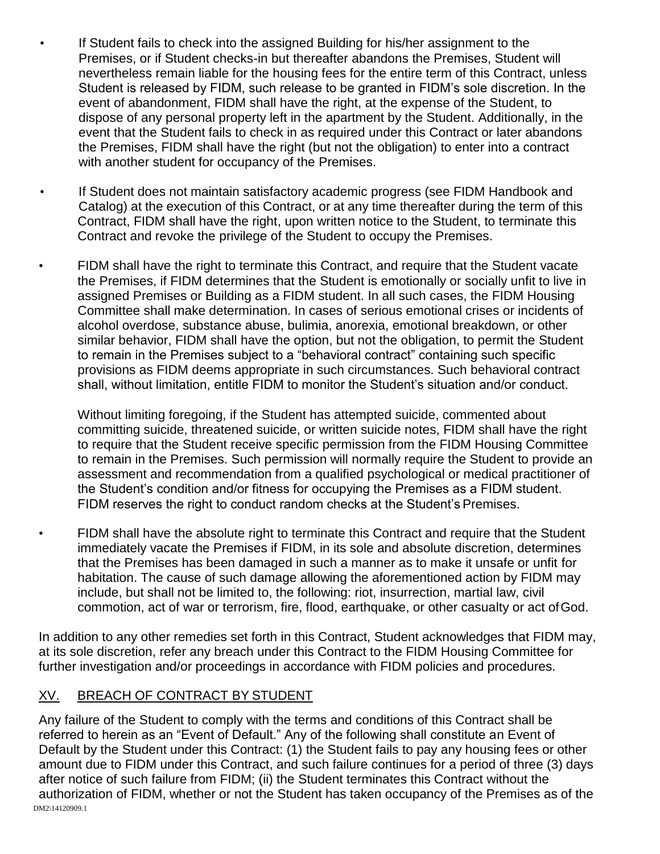- If Student fails to check into the assigned Building for his/her assignment to the Premises, or if Student checks-in but thereafter abandons the Premises, Student will nevertheless remain liable for the housing fees for the entire term of this Contract, unless Student is released by FIDM, such release to be granted in FIDM's sole discretion. In the event of abandonment, FIDM shall have the right, at the expense of the Student, to dispose of any personal property left in the apartment by the Student. Additionally, in the event that the Student fails to check in as required under this Contract or later abandons the Premises, FIDM shall have the right (but not the obligation) to enter into a contract with another student for occupancy of the Premises.
- If Student does not maintain satisfactory academic progress (see FIDM Handbook and Catalog) at the execution of this Contract, or at any time thereafter during the term of this Contract, FIDM shall have the right, upon written notice to the Student, to terminate this Contract and revoke the privilege of the Student to occupy the Premises.
- FIDM shall have the right to terminate this Contract, and require that the Student vacate the Premises, if FIDM determines that the Student is emotionally or socially unfit to live in assigned Premises or Building as a FIDM student. In all such cases, the FIDM Housing Committee shall make determination. In cases of serious emotional crises or incidents of alcohol overdose, substance abuse, bulimia, anorexia, emotional breakdown, or other similar behavior, FIDM shall have the option, but not the obligation, to permit the Student to remain in the Premises subject to a "behavioral contract" containing such specific provisions as FIDM deems appropriate in such circumstances. Such behavioral contract shall, without limitation, entitle FIDM to monitor the Student's situation and/or conduct.

Without limiting foregoing, if the Student has attempted suicide, commented about committing suicide, threatened suicide, or written suicide notes, FIDM shall have the right to require that the Student receive specific permission from the FIDM Housing Committee to remain in the Premises. Such permission will normally require the Student to provide an assessment and recommendation from a qualified psychological or medical practitioner of the Student's condition and/or fitness for occupying the Premises as a FIDM student. FIDM reserves the right to conduct random checks at the Student's Premises.

• FIDM shall have the absolute right to terminate this Contract and require that the Student immediately vacate the Premises if FIDM, in its sole and absolute discretion, determines that the Premises has been damaged in such a manner as to make it unsafe or unfit for habitation. The cause of such damage allowing the aforementioned action by FIDM may include, but shall not be limited to, the following: riot, insurrection, martial law, civil commotion, act of war or terrorism, fire, flood, earthquake, or other casualty or act ofGod.

In addition to any other remedies set forth in this Contract, Student acknowledges that FIDM may, at its sole discretion, refer any breach under this Contract to the FIDM Housing Committee for further investigation and/or proceedings in accordance with FIDM policies and procedures.

## XV. BREACH OF CONTRACT BY STUDENT

DM2\14120909.1 Any failure of the Student to comply with the terms and conditions of this Contract shall be referred to herein as an "Event of Default." Any of the following shall constitute an Event of Default by the Student under this Contract: (1) the Student fails to pay any housing fees or other amount due to FIDM under this Contract, and such failure continues for a period of three (3) days after notice of such failure from FIDM; (ii) the Student terminates this Contract without the authorization of FIDM, whether or not the Student has taken occupancy of the Premises as of the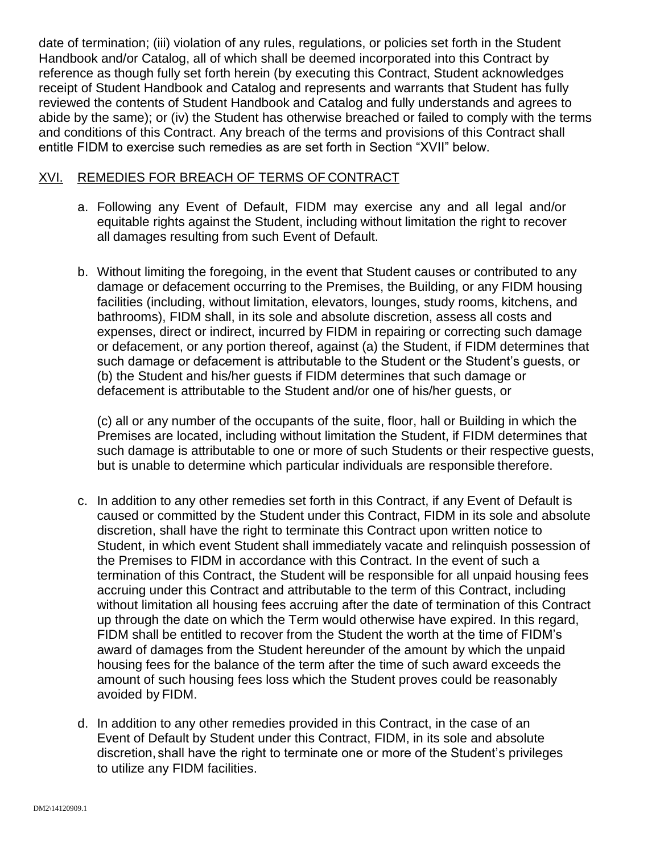date of termination; (iii) violation of any rules, regulations, or policies set forth in the Student Handbook and/or Catalog, all of which shall be deemed incorporated into this Contract by reference as though fully set forth herein (by executing this Contract, Student acknowledges receipt of Student Handbook and Catalog and represents and warrants that Student has fully reviewed the contents of Student Handbook and Catalog and fully understands and agrees to abide by the same); or (iv) the Student has otherwise breached or failed to comply with the terms and conditions of this Contract. Any breach of the terms and provisions of this Contract shall entitle FIDM to exercise such remedies as are set forth in Section "XVII" below.

#### XVI. REMEDIES FOR BREACH OF TERMS OF CONTRACT

- a. Following any Event of Default, FIDM may exercise any and all legal and/or equitable rights against the Student, including without limitation the right to recover all damages resulting from such Event of Default.
- b. Without limiting the foregoing, in the event that Student causes or contributed to any damage or defacement occurring to the Premises, the Building, or any FIDM housing facilities (including, without limitation, elevators, lounges, study rooms, kitchens, and bathrooms), FIDM shall, in its sole and absolute discretion, assess all costs and expenses, direct or indirect, incurred by FIDM in repairing or correcting such damage or defacement, or any portion thereof, against (a) the Student, if FIDM determines that such damage or defacement is attributable to the Student or the Student's guests, or (b) the Student and his/her guests if FIDM determines that such damage or defacement is attributable to the Student and/or one of his/her guests, or

(c) all or any number of the occupants of the suite, floor, hall or Building in which the Premises are located, including without limitation the Student, if FIDM determines that such damage is attributable to one or more of such Students or their respective guests, but is unable to determine which particular individuals are responsible therefore.

- c. In addition to any other remedies set forth in this Contract, if any Event of Default is caused or committed by the Student under this Contract, FIDM in its sole and absolute discretion, shall have the right to terminate this Contract upon written notice to Student, in which event Student shall immediately vacate and relinquish possession of the Premises to FIDM in accordance with this Contract. In the event of such a termination of this Contract, the Student will be responsible for all unpaid housing fees accruing under this Contract and attributable to the term of this Contract, including without limitation all housing fees accruing after the date of termination of this Contract up through the date on which the Term would otherwise have expired. In this regard, FIDM shall be entitled to recover from the Student the worth at the time of FIDM's award of damages from the Student hereunder of the amount by which the unpaid housing fees for the balance of the term after the time of such award exceeds the amount of such housing fees loss which the Student proves could be reasonably avoided by FIDM.
- d. In addition to any other remedies provided in this Contract, in the case of an Event of Default by Student under this Contract, FIDM, in its sole and absolute discretion, shall have the right to terminate one or more of the Student's privileges to utilize any FIDM facilities.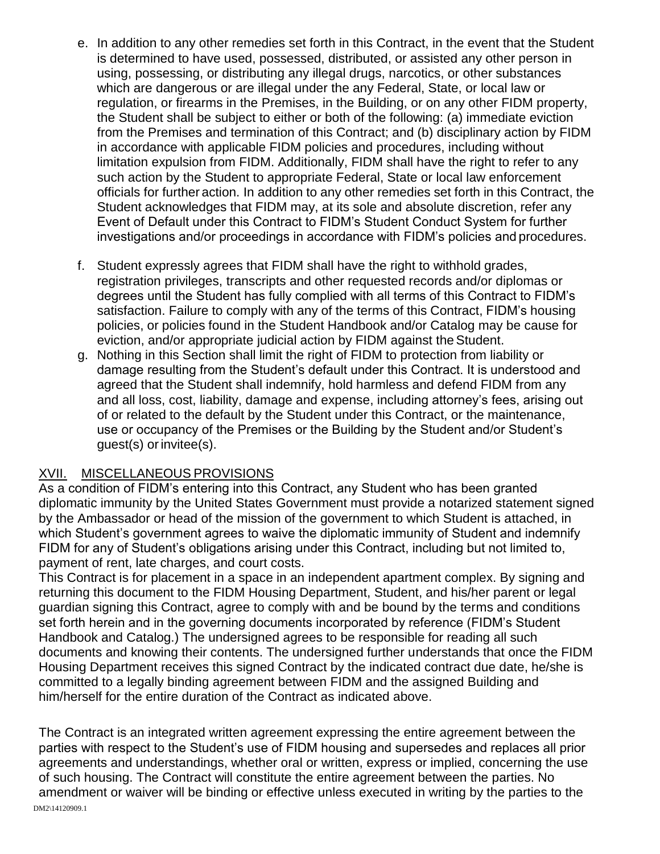- e. In addition to any other remedies set forth in this Contract, in the event that the Student is determined to have used, possessed, distributed, or assisted any other person in using, possessing, or distributing any illegal drugs, narcotics, or other substances which are dangerous or are illegal under the any Federal, State, or local law or regulation, or firearms in the Premises, in the Building, or on any other FIDM property, the Student shall be subject to either or both of the following: (a) immediate eviction from the Premises and termination of this Contract; and (b) disciplinary action by FIDM in accordance with applicable FIDM policies and procedures, including without limitation expulsion from FIDM. Additionally, FIDM shall have the right to refer to any such action by the Student to appropriate Federal, State or local law enforcement officials for further action. In addition to any other remedies set forth in this Contract, the Student acknowledges that FIDM may, at its sole and absolute discretion, refer any Event of Default under this Contract to FIDM's Student Conduct System for further investigations and/or proceedings in accordance with FIDM's policies and procedures.
- f. Student expressly agrees that FIDM shall have the right to withhold grades, registration privileges, transcripts and other requested records and/or diplomas or degrees until the Student has fully complied with all terms of this Contract to FIDM's satisfaction. Failure to comply with any of the terms of this Contract, FIDM's housing policies, or policies found in the Student Handbook and/or Catalog may be cause for eviction, and/or appropriate judicial action by FIDM against the Student.
- g. Nothing in this Section shall limit the right of FIDM to protection from liability or damage resulting from the Student's default under this Contract. It is understood and agreed that the Student shall indemnify, hold harmless and defend FIDM from any and all loss, cost, liability, damage and expense, including attorney's fees, arising out of or related to the default by the Student under this Contract, or the maintenance, use or occupancy of the Premises or the Building by the Student and/or Student's guest(s) orinvitee(s).

## XVII. MISCELLANEOUS PROVISIONS

As a condition of FIDM's entering into this Contract, any Student who has been granted diplomatic immunity by the United States Government must provide a notarized statement signed by the Ambassador or head of the mission of the government to which Student is attached, in which Student's government agrees to waive the diplomatic immunity of Student and indemnify FIDM for any of Student's obligations arising under this Contract, including but not limited to, payment of rent, late charges, and court costs.

This Contract is for placement in a space in an independent apartment complex. By signing and returning this document to the FIDM Housing Department, Student, and his/her parent or legal guardian signing this Contract, agree to comply with and be bound by the terms and conditions set forth herein and in the governing documents incorporated by reference (FIDM's Student Handbook and Catalog.) The undersigned agrees to be responsible for reading all such documents and knowing their contents. The undersigned further understands that once the FIDM Housing Department receives this signed Contract by the indicated contract due date, he/she is committed to a legally binding agreement between FIDM and the assigned Building and him/herself for the entire duration of the Contract as indicated above.

The Contract is an integrated written agreement expressing the entire agreement between the parties with respect to the Student's use of FIDM housing and supersedes and replaces all prior agreements and understandings, whether oral or written, express or implied, concerning the use of such housing. The Contract will constitute the entire agreement between the parties. No amendment or waiver will be binding or effective unless executed in writing by the parties to the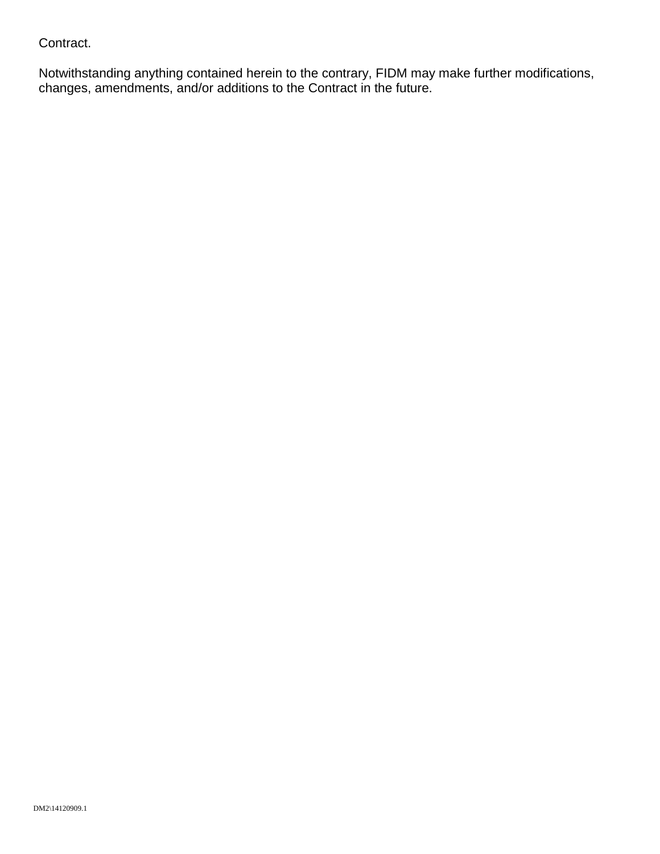## Contract.

Notwithstanding anything contained herein to the contrary, FIDM may make further modifications, changes, amendments, and/or additions to the Contract in the future.